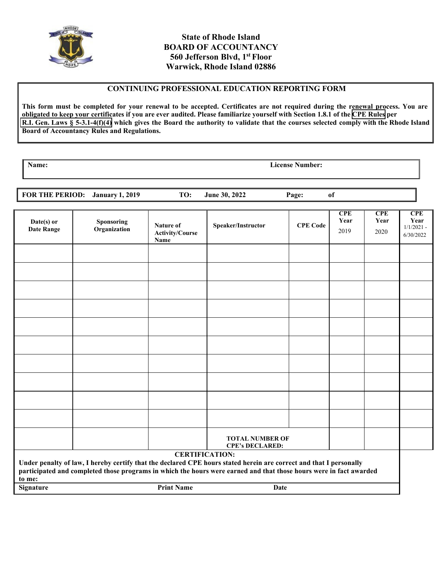

# **State of Rhode Island BOARD OF ACCOUNTANCY 560 Jefferson Blvd, 1st Floor Warwick, Rhode Island 02886**

#### **CONTINUING PROFESSIONAL EDUCATION REPORTING FORM**

**This form must be completed for your renewal to be accepted. Certificates are not required during the renewal process. You are obligated to keep your certificates if you are ever audited. Please familiarize yourself with Section 1.8.1 of the [CPE Rules](https://rules.sos.ri.gov/regulations/part/400-00-00-1) per [R.I. Gen. Laws](http://webserver.rilin.state.ri.us/Statutes/TITLE5/5-3.1/5-3.1-4.htm) § 5-3.1-4(f)(4) which gives the Board the authority to validate that the courses selected comply with the Rhode Island Board of Accountancy Rules and Regulations.**

**Name: License Number:**

**FOR THE PERIOD: January 1, 2019 TO: June 30, 2022 Page: of** 

| Date(s) or<br><b>Date Range</b>                                                                                                                                                                                                                                                                                              | <b>Sponsoring</b><br>Organization | Nature of<br><b>Activity/Course</b><br>Name | Speaker/Instructor                               | <b>CPE Code</b> | <b>CPE</b><br>Year<br>2019 | <b>CPE</b><br>Year<br>2020 | <b>CPE</b><br>Year<br>$1/1/2021 -$<br>6/30/2022 |
|------------------------------------------------------------------------------------------------------------------------------------------------------------------------------------------------------------------------------------------------------------------------------------------------------------------------------|-----------------------------------|---------------------------------------------|--------------------------------------------------|-----------------|----------------------------|----------------------------|-------------------------------------------------|
|                                                                                                                                                                                                                                                                                                                              |                                   |                                             |                                                  |                 |                            |                            |                                                 |
|                                                                                                                                                                                                                                                                                                                              |                                   |                                             |                                                  |                 |                            |                            |                                                 |
|                                                                                                                                                                                                                                                                                                                              |                                   |                                             |                                                  |                 |                            |                            |                                                 |
|                                                                                                                                                                                                                                                                                                                              |                                   |                                             |                                                  |                 |                            |                            |                                                 |
|                                                                                                                                                                                                                                                                                                                              |                                   |                                             |                                                  |                 |                            |                            |                                                 |
|                                                                                                                                                                                                                                                                                                                              |                                   |                                             |                                                  |                 |                            |                            |                                                 |
|                                                                                                                                                                                                                                                                                                                              |                                   |                                             |                                                  |                 |                            |                            |                                                 |
|                                                                                                                                                                                                                                                                                                                              |                                   |                                             |                                                  |                 |                            |                            |                                                 |
|                                                                                                                                                                                                                                                                                                                              |                                   |                                             |                                                  |                 |                            |                            |                                                 |
|                                                                                                                                                                                                                                                                                                                              |                                   |                                             |                                                  |                 |                            |                            |                                                 |
|                                                                                                                                                                                                                                                                                                                              |                                   |                                             | <b>TOTAL NUMBER OF</b><br><b>CPE's DECLARED:</b> |                 |                            |                            |                                                 |
| <b>CERTIFICATION:</b><br>Under penalty of law, I hereby certify that the declared CPE hours stated herein are correct and that I personally<br>participated and completed those programs in which the hours were earned and that those hours were in fact awarded<br>to me:<br><b>Print Name</b><br>Date<br><b>Signature</b> |                                   |                                             |                                                  |                 |                            |                            |                                                 |